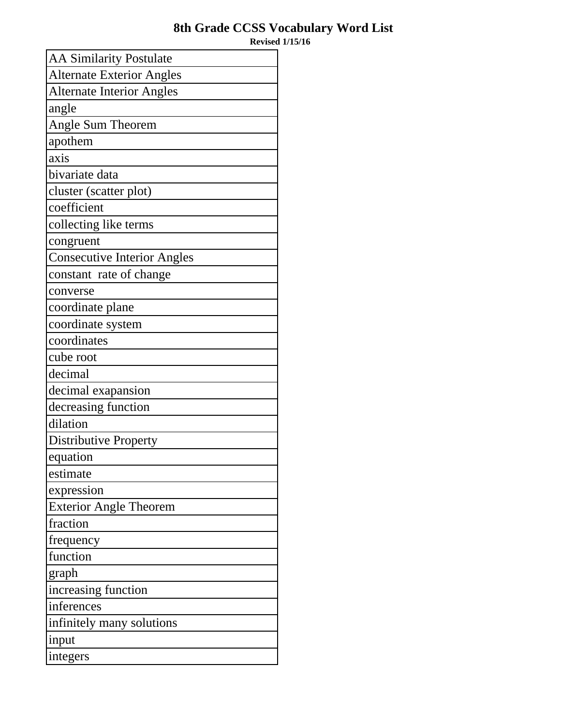## **8th Grade CCSS Vocabulary Word List**

**Revised 1/15/16**

| <b>AA Similarity Postulate</b>     |
|------------------------------------|
| <b>Alternate Exterior Angles</b>   |
| <b>Alternate Interior Angles</b>   |
| angle                              |
| Angle Sum Theorem                  |
| apothem                            |
| axis                               |
| bivariate data                     |
| cluster (scatter plot)             |
| coefficient                        |
| collecting like terms              |
| congruent                          |
| <b>Consecutive Interior Angles</b> |
| constant rate of change            |
| converse                           |
| coordinate plane                   |
| coordinate system                  |
| coordinates                        |
| cube root                          |
| decimal                            |
| decimal exapansion                 |
| decreasing function                |
| dilation                           |
| <b>Distributive Property</b>       |
| equation                           |
| estimate                           |
| expression                         |
| <b>Exterior Angle Theorem</b>      |
| fraction                           |
| frequency                          |
| function                           |
| graph                              |
| increasing function                |
| inferences                         |
| infinitely many solutions          |
| input                              |
| integers                           |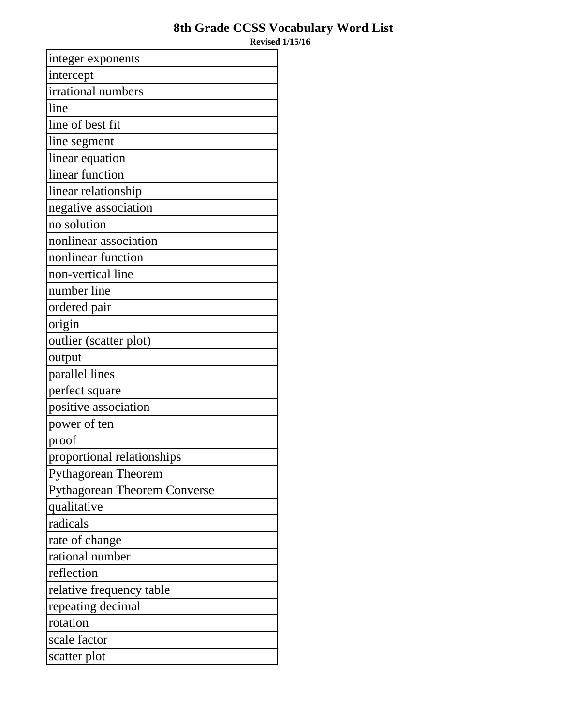## **8th Grade CCSS Vocabulary Word List**

**Revised 1/15/16**

| integer exponents                   |
|-------------------------------------|
| intercept                           |
| irrational numbers                  |
| line                                |
| line of best fit                    |
| line segment                        |
| linear equation                     |
| linear function                     |
| linear relationship                 |
| negative association                |
| no solution                         |
| nonlinear association               |
| nonlinear function                  |
| non-vertical line                   |
| number line                         |
| ordered pair                        |
| origin                              |
| outlier (scatter plot)              |
| output                              |
| parallel lines                      |
| perfect square                      |
| positive association                |
| power of ten                        |
| proof                               |
| proportional relationships          |
| <b>Pythagorean Theorem</b>          |
| <b>Pythagorean Theorem Converse</b> |
| qualitative                         |
| radicals                            |
| rate of change                      |
| rational number                     |
| reflection                          |
| relative frequency table            |
| repeating decimal                   |
| rotation                            |
| scale factor                        |
| scatter plot                        |